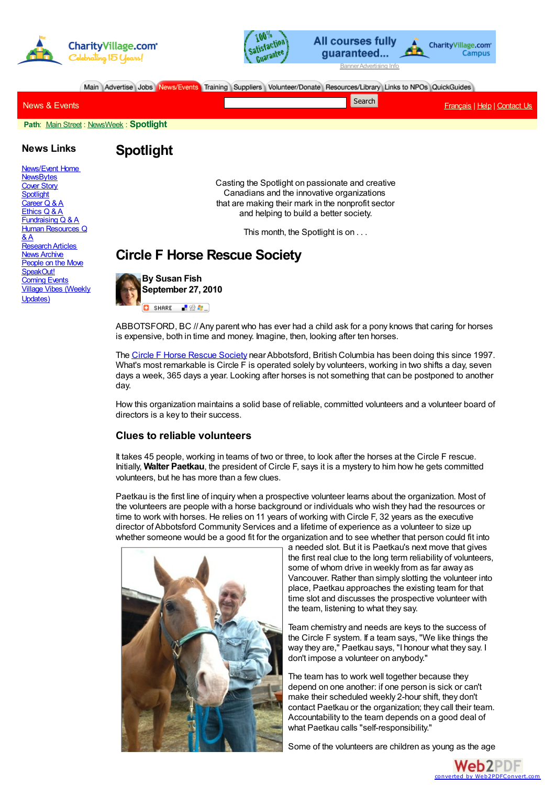



Main Advertise Jobs News/Events Training Suppliers Volunteer/Donate Resources/Library Links to NPOs QuickGuides

| News & Events | Search | Français   Help   Contact Us |
|---------------|--------|------------------------------|
|               |        |                              |

**Path**: Main [Street](http://www.charityvillage.com/CV/main.asp) : [NewsWeek](http://www.charityvillage.com/cv/news/news.asp) : **Spotlight**

#### **News Links**

[News/Event](http://www.charityvillage.com/applicant/events.asp) Home **[NewsBytes](http://www.charityvillage.com/cv/news/news.asp)** [Cover](http://www.charityvillage.com/cv/news/cover.asp) Story **[Spotlight](http://www.charityvillage.com/cv/news/spotlite.asp)** [Career](http://www.charityvillage.com/cv/news/careerqa.asp) Q & A [Ethics](http://www.charityvillage.com/cv/news/ethics.asp) Q & A [Fundraising](http://www.charityvillage.com/cv/news/fundqa.asp) Q & A Human [Resources](http://www.charityvillage.com/cv/news/hrqa.asp) Q

[ResearchArticles](http://www.charityvillage.com/cv/research/index.asp) **News [Archive](http://www.charityvillage.com/cv/archive/index.html)** [People](http://www.charityvillage.com/cv/news/people.html) on the Move [SpeakOut!](http://www.charityvillage.com/cv/speak/survey.html) **[Coming](http://www.charityvillage.com/applicant/events.asp) Events** Village Vibes [\(Weekly](http://www.charityvillage.com/cvnet/newsletters.aspx)

 $\&$  A

Updates)

**Spotlight**

Casting the Spotlight on passionate and creative Canadians and the innovative organizations that are making their mark in the nonprofit sector and helping to build a better society.

This month, the Spotlight is on . . .

# **Circle F Horse Rescue Society**



ABBOTSFORD, BC //Any parent who has ever had a child ask for a pony knows that caring for horses is expensive, both in time and money. Imagine, then, looking after ten horses.

The Circle F Horse [Rescue](http://www.circlef.ca/) Society near Abbotsford, British Columbia has been doing this since 1997. What's most remarkable is Circle F is operated solely by volunteers, working in two shifts a day, seven days a week, 365 days a year. Looking after horses is not something that can be postponed to another day.

How this organization maintains a solid base of reliable, committed volunteers and a volunteer board of directors is a key to their success.

## **Clues to reliable volunteers**

It takes 45 people, working in teams of two or three, to look after the horses at the Circle F rescue. Initially, **Walter Paetkau**, the president of Circle F, says it is a mystery to him how he gets committed volunteers, but he has more than a few clues.

Paetkau is the first line of inquiry when a prospective volunteer learns about the organization. Most of the volunteers are people with a horse background or individuals who wish they had the resources or time to work with horses. He relies on 11 years of working with Circle F, 32 years as the executive director ofAbbotsford Community Services and a lifetime of experience as a volunteer to size up whether someone would be a good fit for the organization and to see whether that person could fit into



a needed slot. But it is Paetkau's next move that gives the first real clue to the long term reliability of volunteers, some of whom drive in weekly from as far away as Vancouver. Rather than simply slotting the volunteer into place, Paetkau approaches the existing team for that time slot and discusses the prospective volunteer with the team, listening to what they say.

Team chemistry and needs are keys to the success of the Circle F system. If a team says, "We like things the way they are," Paetkau says, "I honour what they say. I don't impose a volunteer on anybody."

The team has to work well together because they depend on one another: if one person is sick or can't make their scheduled weekly 2-hour shift, they don't contact Paetkau or the organization; they call their team. Accountability to the team depends on a good deal of what Paetkau calls "self-responsibility."

Some of the volunteers are children as young as the age

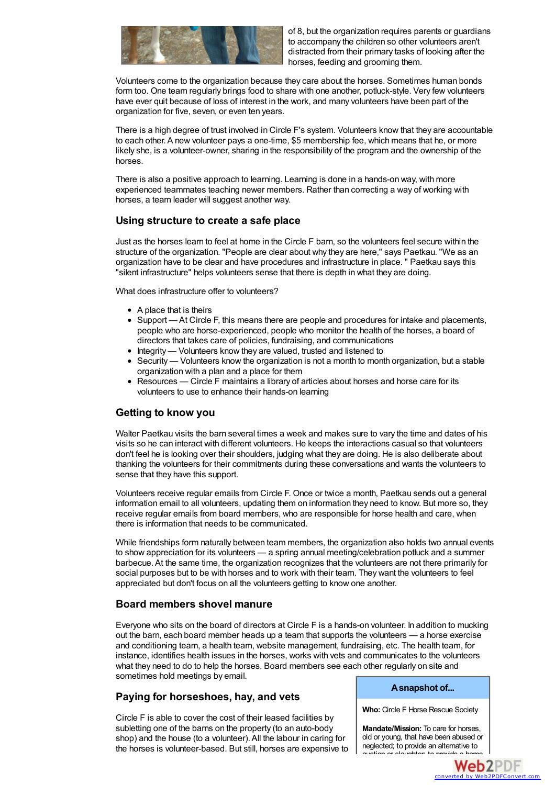

of 8, but the organization requires parents or guardians to accompany the children so other volunteers aren't distracted from their primary tasks of looking after the horses, feeding and grooming them.

Volunteers come to the organization because they care about the horses. Sometimes human bonds form too. One team regularly brings food to share with one another, potluck-style. Very few volunteers have ever quit because of loss of interest in the work, and many volunteers have been part of the organization for five, seven, or even ten years.

There is a high degree of trust involved in Circle F's system. Volunteers know that they are accountable to each other.A new volunteer pays a one-time, \$5 membership fee, which means that he, or more likely she, is a volunteer-owner, sharing in the responsibility of the program and the ownership of the horses.

There is also a positive approach to learning. Learning is done in a hands-on way, with more experienced teammates teaching newer members. Rather than correcting a way of working with horses, a team leader will suggest another way.

# **Using structure to create a safe place**

Just as the horses learn to feel at home in the Circle F barn, so the volunteers feel secure within the structure of the organization. "People are clear about why they are here," says Paetkau. "We as an organization have to be clear and have procedures and infrastructure in place. " Paetkau says this "silent infrastructure" helps volunteers sense that there is depth in what they are doing.

What does infrastructure offer to volunteers?

- A place that is theirs
- Support At Circle F, this means there are people and procedures for intake and placements, people who are horse-experienced, people who monitor the health of the horses, a board of directors that takes care of policies, fundraising, and communications
- Integrity Volunteers know they are valued, trusted and listened to
- Security Volunteers know the organization is not a month to month organization, but a stable organization with a plan and a place for them
- Resources Circle F maintains a library of articles about horses and horse care for its volunteers to use to enhance their hands-on learning

# **Getting to know you**

Walter Paetkau visits the barn several times a week and makes sure to vary the time and dates of his visits so he can interact with different volunteers. He keeps the interactions casual so that volunteers don't feel he is looking over their shoulders, judging what they are doing. He is also deliberate about thanking the volunteers for their commitments during these conversations and wants the volunteers to sense that they have this support.

Volunteers receive regular emails from Circle F. Once or twice a month, Paetkau sends out a general information email to all volunteers, updating them on information they need to know. But more so, they receive regular emails from board members, who are responsible for horse health and care, when there is information that needs to be communicated.

While friendships form naturally between team members, the organization also holds two annual events to show appreciation for its volunteers — a spring annual meeting/celebration potluck and a summer barbecue.At the same time, the organization recognizes that the volunteers are not there primarily for social purposes but to be with horses and to work with their team. They want the volunteers to feel appreciated but don't focus on all the volunteers getting to know one another.

## **Board members shovel manure**

Everyone who sits on the board of directors at Circle F is a hands-on volunteer. In addition to mucking out the barn, each board member heads up a team that supports the volunteers — a horse exercise and conditioning team, a health team, website management, fundraising, etc. The health team, for instance, identifies health issues in the horses, works with vets and communicates to the volunteers what they need to do to help the horses. Board members see each other regularly on site and sometimes hold meetings by email.

# **Paying for horseshoes, hay, and vets**

Circle F is able to cover the cost of their leased facilities by subletting one of the barns on the property (to an auto-body shop) and the house (to a volunteer). All the labour in caring for the horses is volunteer-based. But still, horses are expensive to

#### **Asnapshot of...**

**Who:** Circle F Horse Rescue Society

**Mandate/Mission:** To care for horses, old or young, that have been abused or neglected; to provide an alternative to auction or slaughter; to provide a home